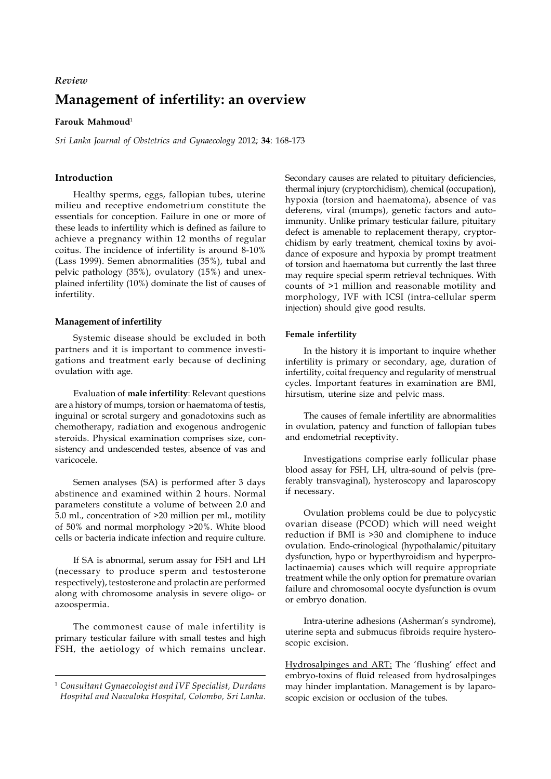# **Management of infertility: an overview** *Review*

## **Farouk Mahmoud**<sup>1</sup>

*Sri Lanka Journal of Obstetrics and Gynaecology* 2012; **34**: 168-173

# **Introduction**

Healthy sperms, eggs, fallopian tubes, uterine milieu and receptive endometrium constitute the essentials for conception. Failure in one or more of these leads to infertility which is defined as failure to achieve a pregnancy within 12 months of regular coitus. The incidence of infertility is around 8-10% (Lass 1999). Semen abnormalities (35%), tubal and pelvic pathology (35%), ovulatory (15%) and unexplained infertility (10%) dominate the list of causes of infertility.

#### **Management of infertility**

Systemic disease should be excluded in both partners and it is important to commence investigations and treatment early because of declining ovulation with age.

Evaluation of **male infertility**: Relevant questions are a history of mumps, torsion or haematoma of testis, inguinal or scrotal surgery and gonadotoxins such as chemotherapy, radiation and exogenous androgenic steroids. Physical examination comprises size, consistency and undescended testes, absence of vas and varicocele.

Semen analyses (SA) is performed after 3 days abstinence and examined within 2 hours. Normal parameters constitute a volume of between 2.0 and 5.0 ml., concentration of >20 million per ml., motility of 50% and normal morphology >20%. White blood cells or bacteria indicate infection and require culture.

If SA is abnormal, serum assay for FSH and LH (necessary to produce sperm and testosterone respectively), testosterone and prolactin are performed along with chromosome analysis in severe oligo- or azoospermia.

The commonest cause of male infertility is primary testicular failure with small testes and high FSH, the aetiology of which remains unclear.

Secondary causes are related to pituitary deficiencies, thermal injury (cryptorchidism), chemical (occupation), hypoxia (torsion and haematoma), absence of vas deferens, viral (mumps), genetic factors and autoimmunity. Unlike primary testicular failure, pituitary defect is amenable to replacement therapy, cryptorchidism by early treatment, chemical toxins by avoidance of exposure and hypoxia by prompt treatment of torsion and haematoma but currently the last three may require special sperm retrieval techniques. With counts of >1 million and reasonable motility and morphology, IVF with ICSI (intra-cellular sperm injection) should give good results.

#### **Female infertility**

In the history it is important to inquire whether infertility is primary or secondary, age, duration of infertility, coital frequency and regularity of menstrual cycles. Important features in examination are BMI, hirsutism, uterine size and pelvic mass.

The causes of female infertility are abnormalities in ovulation, patency and function of fallopian tubes and endometrial receptivity.

Investigations comprise early follicular phase blood assay for FSH, LH, ultra-sound of pelvis (preferably transvaginal), hysteroscopy and laparoscopy if necessary.

Ovulation problems could be due to polycystic ovarian disease (PCOD) which will need weight reduction if BMI is >30 and clomiphene to induce ovulation. Endo-crinological (hypothalamic/pituitary dysfunction, hypo or hyperthyroidism and hyperprolactinaemia) causes which will require appropriate treatment while the only option for premature ovarian failure and chromosomal oocyte dysfunction is ovum or embryo donation.

Intra-uterine adhesions (Asherman's syndrome), uterine septa and submucus fibroids require hysteroscopic excision.

Hydrosalpinges and ART: The 'flushing' effect and embryo-toxins of fluid released from hydrosalpinges may hinder implantation. Management is by laparoscopic excision or occlusion of the tubes.

<sup>1</sup> *Consultant Gynaecologist and IVF Specialist, Durdans Hospital and Nawaloka Hospital, Colombo, Sri Lanka.*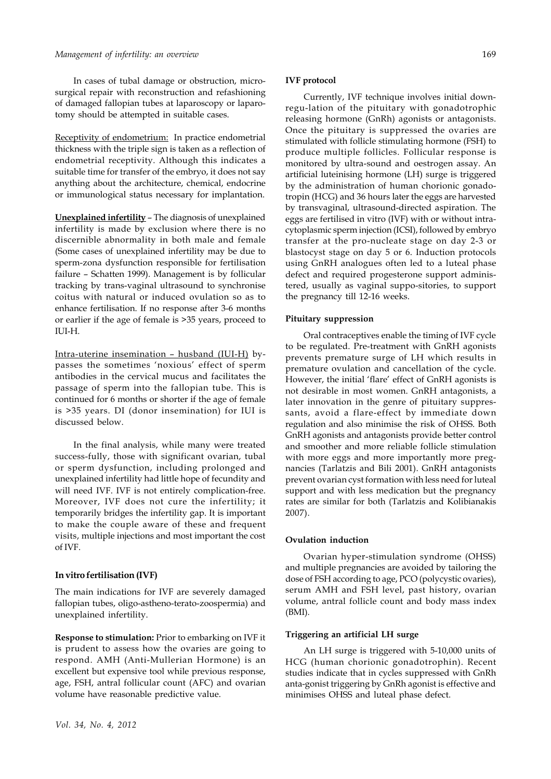#### *Management of infertility: an overview*

In cases of tubal damage or obstruction, microsurgical repair with reconstruction and refashioning of damaged fallopian tubes at laparoscopy or laparotomy should be attempted in suitable cases.

Receptivity of endometrium: In practice endometrial thickness with the triple sign is taken as a reflection of endometrial receptivity. Although this indicates a suitable time for transfer of the embryo, it does not say anything about the architecture, chemical, endocrine or immunological status necessary for implantation.

**Unexplained infertility** – The diagnosis of unexplained infertility is made by exclusion where there is no discernible abnormality in both male and female (Some cases of unexplained infertility may be due to sperm-zona dysfunction responsible for fertilisation failure – Schatten 1999). Management is by follicular tracking by trans-vaginal ultrasound to synchronise coitus with natural or induced ovulation so as to enhance fertilisation. If no response after 3-6 months or earlier if the age of female is >35 years, proceed to  $III-H.$ 

Intra-uterine insemination – husband (IUI-H) bypasses the sometimes 'noxious' effect of sperm antibodies in the cervical mucus and facilitates the passage of sperm into the fallopian tube. This is continued for 6 months or shorter if the age of female is >35 years. DI (donor insemination) for IUI is discussed below.

In the final analysis, while many were treated success-fully, those with significant ovarian, tubal or sperm dysfunction, including prolonged and unexplained infertility had little hope of fecundity and will need IVF. IVF is not entirely complication-free. Moreover, IVF does not cure the infertility; it temporarily bridges the infertility gap. It is important to make the couple aware of these and frequent visits, multiple injections and most important the cost of IVF.

#### **In vitro fertilisation (IVF)**

The main indications for IVF are severely damaged fallopian tubes, oligo-astheno-terato-zoospermia) and unexplained infertility.

**Response to stimulation:** Prior to embarking on IVF it is prudent to assess how the ovaries are going to respond. AMH (Anti-Mullerian Hormone) is an excellent but expensive tool while previous response, age, FSH, antral follicular count (AFC) and ovarian volume have reasonable predictive value.

#### **IVF protocol**

Currently, IVF technique involves initial downregu-lation of the pituitary with gonadotrophic releasing hormone (GnRh) agonists or antagonists. Once the pituitary is suppressed the ovaries are stimulated with follicle stimulating hormone (FSH) to produce multiple follicles. Follicular response is monitored by ultra-sound and oestrogen assay. An artificial luteinising hormone (LH) surge is triggered by the administration of human chorionic gonadotropin (HCG) and 36 hours later the eggs are harvested by transvaginal, ultrasound-directed aspiration. The eggs are fertilised in vitro (IVF) with or without intracytoplasmic sperm injection (ICSI), followed by embryo transfer at the pro-nucleate stage on day 2-3 or blastocyst stage on day 5 or 6. Induction protocols using GnRH analogues often led to a luteal phase defect and required progesterone support administered, usually as vaginal suppo-sitories, to support the pregnancy till 12-16 weeks.

#### **Pituitary suppression**

Oral contraceptives enable the timing of IVF cycle to be regulated. Pre-treatment with GnRH agonists prevents premature surge of LH which results in premature ovulation and cancellation of the cycle. However, the initial 'flare' effect of GnRH agonists is not desirable in most women. GnRH antagonists, a later innovation in the genre of pituitary suppressants, avoid a flare-effect by immediate down regulation and also minimise the risk of OHSS. Both GnRH agonists and antagonists provide better control and smoother and more reliable follicle stimulation with more eggs and more importantly more pregnancies (Tarlatzis and Bili 2001). GnRH antagonists prevent ovarian cyst formation with less need for luteal support and with less medication but the pregnancy rates are similar for both (Tarlatzis and Kolibianakis 2007).

#### **Ovulation induction**

Ovarian hyper-stimulation syndrome (OHSS) and multiple pregnancies are avoided by tailoring the dose of FSH according to age, PCO (polycystic ovaries), serum AMH and FSH level, past history, ovarian volume, antral follicle count and body mass index (BMI).

#### **Triggering an artificial LH surge**

An LH surge is triggered with 5-10,000 units of HCG (human chorionic gonadotrophin). Recent studies indicate that in cycles suppressed with GnRh anta-gonist triggering by GnRh agonist is effective and minimises OHSS and luteal phase defect.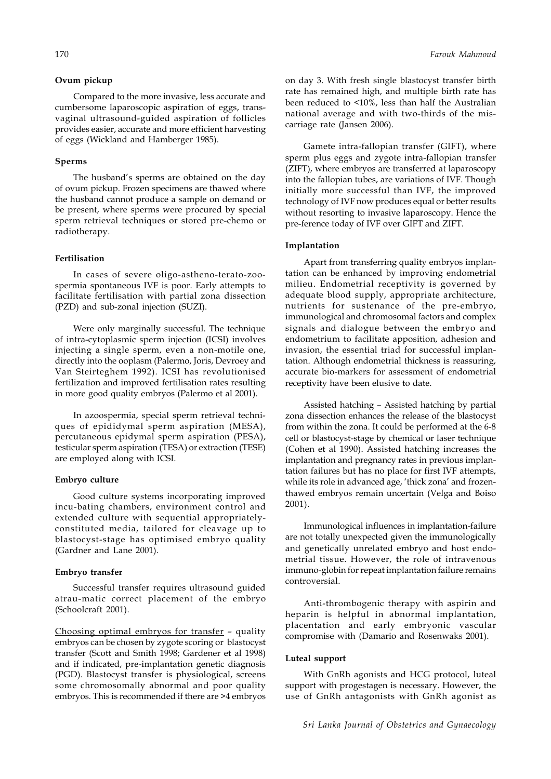## **Ovum pickup**

Compared to the more invasive, less accurate and cumbersome laparoscopic aspiration of eggs, transvaginal ultrasound-guided aspiration of follicles provides easier, accurate and more efficient harvesting of eggs (Wickland and Hamberger 1985).

#### **Sperms**

The husband's sperms are obtained on the day of ovum pickup. Frozen specimens are thawed where the husband cannot produce a sample on demand or be present, where sperms were procured by special sperm retrieval techniques or stored pre-chemo or radiotherapy.

## **Fertilisation**

In cases of severe oligo-astheno-terato-zoospermia spontaneous IVF is poor. Early attempts to facilitate fertilisation with partial zona dissection (PZD) and sub-zonal injection (SUZI).

Were only marginally successful. The technique of intra-cytoplasmic sperm injection (ICSI) involves injecting a single sperm, even a non-motile one, directly into the ooplasm (Palermo, Joris, Devroey and Van Steirteghem 1992). ICSI has revolutionised fertilization and improved fertilisation rates resulting in more good quality embryos (Palermo et al 2001).

In azoospermia, special sperm retrieval techniques of epididymal sperm aspiration (MESA), percutaneous epidymal sperm aspiration (PESA), testicular sperm aspiration (TESA) or extraction (TESE) are employed along with ICSI.

#### **Embryo culture**

Good culture systems incorporating improved incu-bating chambers, environment control and extended culture with sequential appropriatelyconstituted media, tailored for cleavage up to blastocyst-stage has optimised embryo quality (Gardner and Lane 2001).

#### **Embryo transfer**

Successful transfer requires ultrasound guided atrau-matic correct placement of the embryo (Schoolcraft 2001).

Choosing optimal embryos for transfer – quality embryos can be chosen by zygote scoring or blastocyst transfer (Scott and Smith 1998; Gardener et al 1998) and if indicated, pre-implantation genetic diagnosis (PGD). Blastocyst transfer is physiological, screens some chromosomally abnormal and poor quality embryos. This is recommended if there are >4 embryos

on day 3. With fresh single blastocyst transfer birth rate has remained high, and multiple birth rate has been reduced to <10%, less than half the Australian national average and with two-thirds of the miscarriage rate (Jansen 2006).

Gamete intra-fallopian transfer (GIFT), where sperm plus eggs and zygote intra-fallopian transfer (ZIFT), where embryos are transferred at laparoscopy into the fallopian tubes, are variations of IVF. Though initially more successful than IVF, the improved technology of IVF now produces equal or better results without resorting to invasive laparoscopy. Hence the pre-ference today of IVF over GIFT and ZIFT.

#### **Implantation**

Apart from transferring quality embryos implantation can be enhanced by improving endometrial milieu. Endometrial receptivity is governed by adequate blood supply, appropriate architecture, nutrients for sustenance of the pre-embryo, immunological and chromosomal factors and complex signals and dialogue between the embryo and endometrium to facilitate apposition, adhesion and invasion, the essential triad for successful implantation. Although endometrial thickness is reassuring, accurate bio-markers for assessment of endometrial receptivity have been elusive to date.

Assisted hatching – Assisted hatching by partial zona dissection enhances the release of the blastocyst from within the zona. It could be performed at the 6-8 cell or blastocyst-stage by chemical or laser technique (Cohen et al 1990). Assisted hatching increases the implantation and pregnancy rates in previous implantation failures but has no place for first IVF attempts, while its role in advanced age, 'thick zona' and frozenthawed embryos remain uncertain (Velga and Boiso 2001).

Immunological influences in implantation-failure are not totally unexpected given the immunologically and genetically unrelated embryo and host endometrial tissue. However, the role of intravenous immuno-globin for repeat implantation failure remains controversial.

Anti-thrombogenic therapy with aspirin and heparin is helpful in abnormal implantation, placentation and early embryonic vascular compromise with (Damario and Rosenwaks 2001).

#### **Luteal support**

With GnRh agonists and HCG protocol, luteal support with progestagen is necessary. However, the use of GnRh antagonists with GnRh agonist as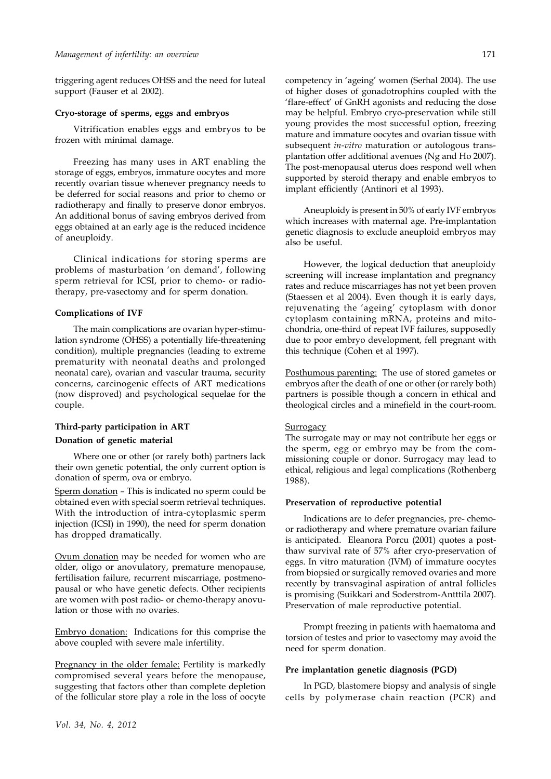triggering agent reduces OHSS and the need for luteal support (Fauser et al 2002).

# **Cryo-storage of sperms, eggs and embryos**

Vitrification enables eggs and embryos to be frozen with minimal damage.

Freezing has many uses in ART enabling the storage of eggs, embryos, immature oocytes and more recently ovarian tissue whenever pregnancy needs to be deferred for social reasons and prior to chemo or radiotherapy and finally to preserve donor embryos. An additional bonus of saving embryos derived from eggs obtained at an early age is the reduced incidence of aneuploidy.

Clinical indications for storing sperms are problems of masturbation 'on demand', following sperm retrieval for ICSI, prior to chemo- or radiotherapy, pre-vasectomy and for sperm donation.

#### **Complications of IVF**

The main complications are ovarian hyper-stimulation syndrome (OHSS) a potentially life-threatening condition), multiple pregnancies (leading to extreme prematurity with neonatal deaths and prolonged neonatal care), ovarian and vascular trauma, security concerns, carcinogenic effects of ART medications (now disproved) and psychological sequelae for the couple.

# **Third-party participation in ART Donation of genetic material**

Where one or other (or rarely both) partners lack their own genetic potential, the only current option is donation of sperm, ova or embryo.

Sperm donation – This is indicated no sperm could be obtained even with special soerm retrieval techniques. With the introduction of intra-cytoplasmic sperm injection (ICSI) in 1990), the need for sperm donation has dropped dramatically.

Ovum donation may be needed for women who are older, oligo or anovulatory, premature menopause, fertilisation failure, recurrent miscarriage, postmenopausal or who have genetic defects. Other recipients are women with post radio- or chemo-therapy anovulation or those with no ovaries.

Embryo donation: Indications for this comprise the above coupled with severe male infertility.

Pregnancy in the older female: Fertility is markedly compromised several years before the menopause, suggesting that factors other than complete depletion of the follicular store play a role in the loss of oocyte

competency in 'ageing' women (Serhal 2004). The use of higher doses of gonadotrophins coupled with the 'flare-effect' of GnRH agonists and reducing the dose may be helpful. Embryo cryo-preservation while still young provides the most successful option, freezing mature and immature oocytes and ovarian tissue with subsequent *in-vitro* maturation or autologous transplantation offer additional avenues (Ng and Ho 2007). The post-menopausal uterus does respond well when supported by steroid therapy and enable embryos to implant efficiently (Antinori et al 1993).

Aneuploidy is present in 50% of early IVF embryos which increases with maternal age. Pre-implantation genetic diagnosis to exclude aneuploid embryos may also be useful.

However, the logical deduction that aneuploidy screening will increase implantation and pregnancy rates and reduce miscarriages has not yet been proven (Staessen et al 2004). Even though it is early days, rejuvenating the 'ageing' cytoplasm with donor cytoplasm containing mRNA, proteins and mitochondria, one-third of repeat IVF failures, supposedly due to poor embryo development, fell pregnant with this technique (Cohen et al 1997).

Posthumous parenting: The use of stored gametes or embryos after the death of one or other (or rarely both) partners is possible though a concern in ethical and theological circles and a minefield in the court-room.

### **Surrogacy**

The surrogate may or may not contribute her eggs or the sperm, egg or embryo may be from the commissioning couple or donor. Surrogacy may lead to ethical, religious and legal complications (Rothenberg 1988).

#### **Preservation of reproductive potential**

Indications are to defer pregnancies, pre- chemoor radiotherapy and where premature ovarian failure is anticipated. Eleanora Porcu (2001) quotes a postthaw survival rate of 57% after cryo-preservation of eggs. In vitro maturation (IVM) of immature oocytes from biopsied or surgically removed ovaries and more recently by transvaginal aspiration of antral follicles is promising (Suikkari and Soderstrom-Antttila 2007). Preservation of male reproductive potential.

Prompt freezing in patients with haematoma and torsion of testes and prior to vasectomy may avoid the need for sperm donation.

#### **Pre implantation genetic diagnosis (PGD)**

In PGD, blastomere biopsy and analysis of single cells by polymerase chain reaction (PCR) and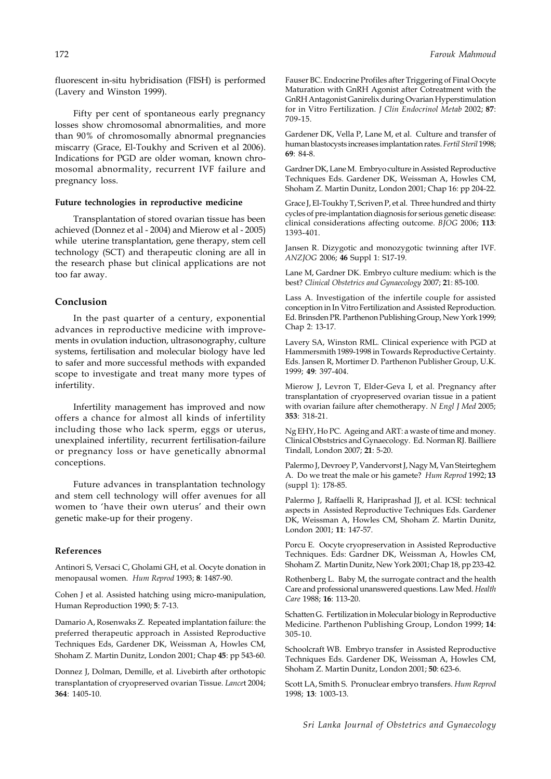fluorescent in-situ hybridisation (FISH) is performed (Lavery and Winston 1999).

Fifty per cent of spontaneous early pregnancy losses show chromosomal abnormalities, and more than 90% of chromosomally abnormal pregnancies miscarry (Grace, El-Toukhy and Scriven et al 2006). Indications for PGD are older woman, known chromosomal abnormality, recurrent IVF failure and pregnancy loss.

#### **Future technologies in reproductive medicine**

Transplantation of stored ovarian tissue has been achieved (Donnez et al - 2004) and Mierow et al - 2005) while uterine transplantation, gene therapy, stem cell technology (SCT) and therapeutic cloning are all in the research phase but clinical applications are not too far away.

# **Conclusion**

In the past quarter of a century, exponential advances in reproductive medicine with improvements in ovulation induction, ultrasonography, culture systems, fertilisation and molecular biology have led to safer and more successful methods with expanded scope to investigate and treat many more types of infertility.

Infertility management has improved and now offers a chance for almost all kinds of infertility including those who lack sperm, eggs or uterus, unexplained infertility, recurrent fertilisation-failure or pregnancy loss or have genetically abnormal conceptions.

Future advances in transplantation technology and stem cell technology will offer avenues for all women to 'have their own uterus' and their own genetic make-up for their progeny.

## **References**

Antinori S, Versaci C, Gholami GH, et al. Oocyte donation in menopausal women. *Hum Reprod* 1993; **8**: 1487-90.

Cohen J et al. Assisted hatching using micro-manipulation, Human Reproduction 1990; **5**: 7-13.

Damario A, Rosenwaks Z. Repeated implantation failure: the preferred therapeutic approach in Assisted Reproductive Techniques Eds, Gardener DK, Weissman A, Howles CM, Shoham Z. Martin Dunitz, London 2001; Chap **45**: pp 543-60.

Donnez J, Dolman, Demille, et al. Livebirth after orthotopic transplantation of cryopreserved ovarian Tissue. *Lance*t 2004; **364**: 1405-10.

Fauser BC. Endocrine Profiles after Triggering of Final Oocyte Maturation with GnRH Agonist after Cotreatment with the GnRH Antagonist Ganirelix during Ovarian Hyperstimulation for in Vitro Fertilization. *J Clin Endocrinol Metab* 2002; **87**: 709-15.

Gardener DK, Vella P, Lane M, et al. Culture and transfer of human blastocysts increases implantation rates. *Fertil Steril* 1998; **69**: 84-8.

Gardner DK, Lane M. Embryo culture in Assisted Reproductive Techniques Eds. Gardener DK, Weissman A, Howles CM, Shoham Z. Martin Dunitz, London 2001; Chap 16: pp 204-22.

Grace J, El-Toukhy T, Scriven P, et al. Three hundred and thirty cycles of pre-implantation diagnosis for serious genetic disease: clinical considerations affecting outcome. *BJOG* 2006; **113**: 1393-401.

Jansen R. Dizygotic and monozygotic twinning after IVF. *ANZJOG* 2006; **46** Suppl 1: S17-19.

Lane M, Gardner DK. Embryo culture medium: which is the best? *Clinical Obstetrics and Gynaecology* 2007; **2**1: 85-100.

Lass A. Investigation of the infertile couple for assisted conception in In Vitro Fertilization and Assisted Reproduction. Ed. Brinsden PR. Parthenon Publishing Group, New York 1999; Chap 2: 13-17.

Lavery SA, Winston RML. Clinical experience with PGD at Hammersmith 1989-1998 in Towards Reproductive Certainty. Eds. Jansen R, Mortimer D. Parthenon Publisher Group, U.K. 1999; **49**: 397-404.

Mierow J, Levron T, Elder-Geva I, et al. Pregnancy after transplantation of cryopreserved ovarian tissue in a patient with ovarian failure after chemotherapy. *N Engl J Med* 2005; **353**: 318-21.

Ng EHY, Ho PC. Ageing and ART: a waste of time and money. Clinical Obststrics and Gynaecology. Ed. Norman RJ. Bailliere Tindall, London 2007; **21**: 5-20.

Palermo J, Devroey P, Vandervorst J, Nagy M, Van Steirteghem A. Do we treat the male or his gamete? *Hum Reprod* 1992; **13** (suppl 1): 178-85.

Palermo J, Raffaelli R, Hariprashad JJ, et al. ICSI: technical aspects in Assisted Reproductive Techniques Eds. Gardener DK, Weissman A, Howles CM, Shoham Z. Martin Dunitz, London 2001; **11**: 147-57.

Porcu E. Oocyte cryopreservation in Assisted Reproductive Techniques. Eds: Gardner DK, Weissman A, Howles CM, Shoham Z. Martin Dunitz, New York 2001; Chap 18, pp 233-42.

Rothenberg L. Baby M, the surrogate contract and the health Care and professional unanswered questions. Law Med. *Health Care* 1988; **16**: 113-20.

Schatten G. Fertilization in Molecular biology in Reproductive Medicine. Parthenon Publishing Group, London 1999; **14**: 305-10.

Schoolcraft WB. Embryo transfer in Assisted Reproductive Techniques Eds. Gardener DK, Weissman A, Howles CM, Shoham Z. Martin Dunitz, London 2001; **50**: 623-6.

Scott LA, Smith S. Pronuclear embryo transfers. *Hum Reprod* 1998; **13**: 1003-13.